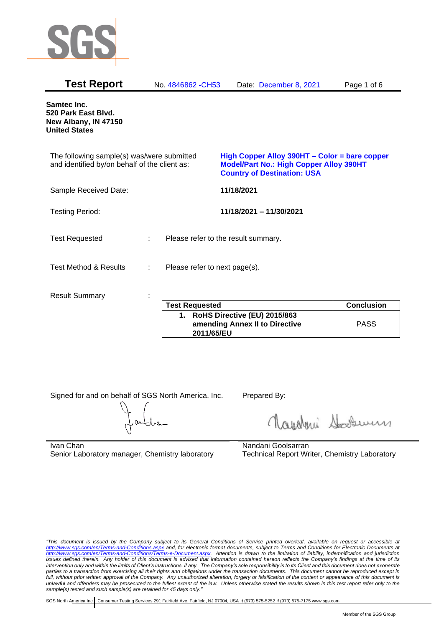

| <b>Test Report</b>                                                                          |    | No. 4846862 - CH53                  |            | Date: December 8, 2021                                                                                                                | Page 1 of 6       |
|---------------------------------------------------------------------------------------------|----|-------------------------------------|------------|---------------------------------------------------------------------------------------------------------------------------------------|-------------------|
| Samtec Inc.<br>520 Park East Blvd.<br>New Albany, IN 47150<br><b>United States</b>          |    |                                     |            |                                                                                                                                       |                   |
| The following sample(s) was/were submitted<br>and identified by/on behalf of the client as: |    |                                     |            | High Copper Alloy 390HT - Color = bare copper<br><b>Model/Part No.: High Copper Alloy 390HT</b><br><b>Country of Destination: USA</b> |                   |
| Sample Received Date:                                                                       |    |                                     | 11/18/2021 |                                                                                                                                       |                   |
| <b>Testing Period:</b>                                                                      |    |                                     |            | 11/18/2021 - 11/30/2021                                                                                                               |                   |
| <b>Test Requested</b>                                                                       | t. | Please refer to the result summary. |            |                                                                                                                                       |                   |
| <b>Test Method &amp; Results</b>                                                            | ÷  | Please refer to next page(s).       |            |                                                                                                                                       |                   |
| <b>Result Summary</b>                                                                       |    |                                     |            |                                                                                                                                       |                   |
|                                                                                             |    | <b>Test Requested</b>               |            |                                                                                                                                       | <b>Conclusion</b> |
|                                                                                             |    |                                     | .          | $I = I I$ $A A I = I A A A$                                                                                                           |                   |

| <b>Test Requested</b>                                                           | <b>Conclusion</b> |
|---------------------------------------------------------------------------------|-------------------|
| 1. RoHS Directive (EU) 2015/863<br>amending Annex II to Directive<br>2011/65/EU | <b>PASS</b>       |

Signed for and on behalf of SGS North America, Inc. Prepared By:

Navaleni Soomun

Ivan Chan Senior Laboratory manager, Chemistry laboratory Nandani Goolsarran Technical Report Writer, Chemistry Laboratory

*"This document is issued by the Company subject to its General Conditions of Service printed overleaf, available on request or accessible at <http://www.sgs.com/en/Terms-and-Conditions.aspx> and, for electronic format documents, subject to Terms and Conditions for Electronic Documents at [http://www.sgs.com/en/Terms-and-Conditions/Terms-e-Document.aspx.](http://www.sgs.com/en/Terms-and-Conditions/Terms-e-Document.aspx) Attention is drawn to the limitation of liability, indemnification and jurisdiction issues defined therein. Any holder of this document is advised that information contained hereon reflects the Company's findings at the time of its intervention only and within the limits of Client's instructions, if any. The Company's sole responsibility is to its Client and this document does not exonerate parties to a transaction from exercising all their rights and obligations under the transaction documents. This document cannot be reproduced except in full, without prior written approval of the Company. Any unauthorized alteration, forgery or falsification of the content or appearance of this document is unlawful and offenders may be prosecuted to the fullest extent of the law. Unless otherwise stated the results shown in this test report refer only to the sample(s) tested and such sample(s) are retained for 45 days only."*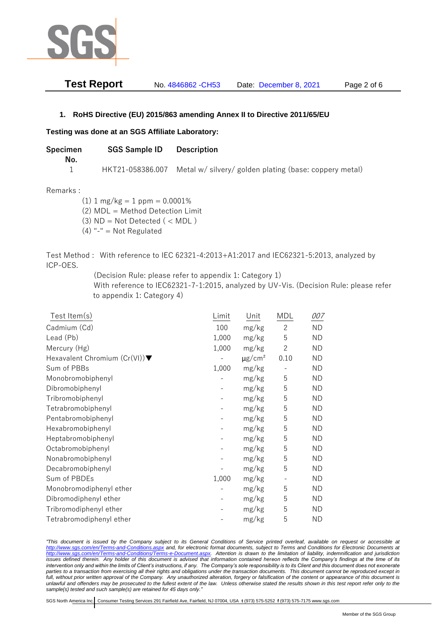

| <b>Test Report</b> | No. 4846862 - CH53 | Date: December 8, 2021 | Page 2 of 6 |
|--------------------|--------------------|------------------------|-------------|
|--------------------|--------------------|------------------------|-------------|

## **1. RoHS Directive (EU) 2015/863 amending Annex II to Directive 2011/65/EU**

## **Testing was done at an SGS Affiliate Laboratory:**

| Specimen<br>No. | <b>SGS Sample ID</b> | Description                                            |
|-----------------|----------------------|--------------------------------------------------------|
|                 | HKT21-058386.007     | Metal w/ silvery/ golden plating (base: coppery metal) |

## Remarks :

 $(1)$  1 mg/kg = 1 ppm = 0.0001% (2) MDL = Method Detection Limit  $(3)$  ND = Not Detected  $($  < MDL)

 $(4)$  "-" = Not Regulated

Test Method : With reference to IEC 62321-4:2013+A1:2017 and IEC62321-5:2013, analyzed by ICP-OES.

(Decision Rule: please refer to appendix 1: Category 1)

With reference to IEC62321-7-1:2015, analyzed by UV-Vis. (Decision Rule: please refer to appendix 1: Category 4)

| Test Item(s)                                     | Limit | Unit                    | MDL                      | 007       |
|--------------------------------------------------|-------|-------------------------|--------------------------|-----------|
| Cadmium (Cd)                                     | 100   | mg/kg                   | $\overline{c}$           | <b>ND</b> |
| Lead (Pb)                                        | 1,000 | mg/kg                   | 5                        | <b>ND</b> |
| Mercury (Hg)                                     | 1,000 | mg/kg                   | $\overline{2}$           | ND.       |
| Hexavalent Chromium $(Cr(VI))\blacktriangledown$ |       | $\mu$ g/cm <sup>2</sup> | 0.10                     | <b>ND</b> |
| Sum of PBBs                                      | 1,000 | mg/kg                   |                          | <b>ND</b> |
| Monobromobiphenyl                                |       | mg/kg                   | 5                        | <b>ND</b> |
| Dibromobiphenyl                                  |       | mg/kg                   | 5                        | ND.       |
| Tribromobiphenyl                                 |       | mg/kg                   | 5                        | <b>ND</b> |
| Tetrabromobiphenyl                               |       | mg/kg                   | 5                        | <b>ND</b> |
| Pentabromobiphenyl                               |       | mg/kg                   | 5                        | ND        |
| Hexabromobiphenyl                                |       | mg/kg                   | 5                        | ND.       |
| Heptabromobiphenyl                               |       | mg/kg                   | 5                        | <b>ND</b> |
| Octabromobiphenyl                                |       | mg/kg                   | 5                        | <b>ND</b> |
| Nonabromobiphenyl                                |       | mg/kg                   | 5                        | <b>ND</b> |
| Decabromobiphenyl                                |       | mg/kg                   | 5                        | <b>ND</b> |
| Sum of PBDEs                                     | 1,000 | mg/kg                   | $\overline{\phantom{a}}$ | <b>ND</b> |
| Monobromodiphenyl ether                          |       | mg/kg                   | 5                        | <b>ND</b> |
| Dibromodiphenyl ether                            |       | mg/kg                   | 5                        | ND.       |
| Tribromodiphenyl ether                           |       | mg/kg                   | 5                        | ND        |
| Tetrabromodiphenyl ether                         |       | mg/kg                   | 5                        | <b>ND</b> |

*"This document is issued by the Company subject to its General Conditions of Service printed overleaf, available on request or accessible at <http://www.sgs.com/en/Terms-and-Conditions.aspx> and, for electronic format documents, subject to Terms and Conditions for Electronic Documents at [http://www.sgs.com/en/Terms-and-Conditions/Terms-e-Document.aspx.](http://www.sgs.com/en/Terms-and-Conditions/Terms-e-Document.aspx) Attention is drawn to the limitation of liability, indemnification and jurisdiction issues defined therein. Any holder of this document is advised that information contained hereon reflects the Company's findings at the time of its intervention only and within the limits of Client's instructions, if any. The Company's sole responsibility is to its Client and this document does not exonerate*  parties to a transaction from exercising all their rights and obligations under the transaction documents. This document cannot be reproduced except in *full, without prior written approval of the Company. Any unauthorized alteration, forgery or falsification of the content or appearance of this document is unlawful and offenders may be prosecuted to the fullest extent of the law. Unless otherwise stated the results shown in this test report refer only to the sample(s) tested and such sample(s) are retained for 45 days only."*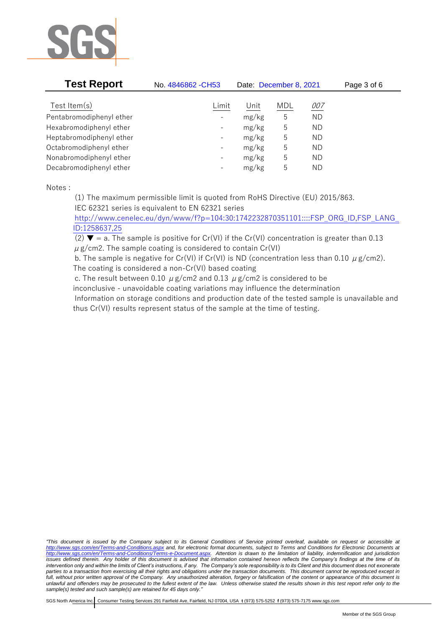

| <b>Test Report</b>       | No. 4846862 - CH53       | Date: December 8, 2021 |            |            | Page 3 of 6 |
|--------------------------|--------------------------|------------------------|------------|------------|-------------|
| Test Item $(s)$          | Limit                    | Unit                   | <b>MDL</b> | <u>007</u> |             |
| Pentabromodiphenyl ether | $\overline{\phantom{a}}$ | mg/kg                  | 5          | <b>ND</b>  |             |
| Hexabromodiphenyl ether  | $\overline{\phantom{a}}$ | mg/kg                  | 5          | <b>ND</b>  |             |
| Heptabromodiphenyl ether | $\overline{\phantom{a}}$ | mg/kg                  | 5          | <b>ND</b>  |             |
| Octabromodiphenyl ether  | $\overline{\phantom{a}}$ | mg/kg                  | 5          | <b>ND</b>  |             |
| Nonabromodiphenyl ether  | $\overline{\phantom{a}}$ | mg/kg                  | 5          | ΝD         |             |
| Decabromodiphenyl ether  | $\overline{\phantom{a}}$ | mg/kg                  | 5          | ΝD         |             |

Notes :

(1) The maximum permissible limit is quoted from RoHS Directive (EU) 2015/863.

IEC 62321 series is equivalent to EN 62321 series

[http://www.cenelec.eu/dyn/www/f?p=104:30:1742232870351101::::FSP\\_ORG\\_ID,FSP\\_LANG\\_](http://www.cenelec.eu/dyn/www/f?p=104:30:1742232870351101::::FSP_ORG_ID,FSP_LANG_ID:1258637,25) [ID:1258637,25](http://www.cenelec.eu/dyn/www/f?p=104:30:1742232870351101::::FSP_ORG_ID,FSP_LANG_ID:1258637,25)

(2)  $\blacktriangledown$  = a. The sample is positive for Cr(VI) if the Cr(VI) concentration is greater than 0.13  $\mu$  g/cm2. The sample coating is considered to contain Cr(VI)

b. The sample is negative for Cr(VI) if Cr(VI) is ND (concentration less than 0.10  $\mu$  g/cm2). The coating is considered a non-Cr(VI) based coating

c. The result between 0.10  $\mu$  g/cm2 and 0.13  $\mu$  g/cm2 is considered to be

inconclusive - unavoidable coating variations may influence the determination

Information on storage conditions and production date of the tested sample is unavailable and thus Cr(VI) results represent status of the sample at the time of testing.

*"This document is issued by the Company subject to its General Conditions of Service printed overleaf, available on request or accessible at <http://www.sgs.com/en/Terms-and-Conditions.aspx> and, for electronic format documents, subject to Terms and Conditions for Electronic Documents at [http://www.sgs.com/en/Terms-and-Conditions/Terms-e-Document.aspx.](http://www.sgs.com/en/Terms-and-Conditions/Terms-e-Document.aspx) Attention is drawn to the limitation of liability, indemnification and jurisdiction issues defined therein. Any holder of this document is advised that information contained hereon reflects the Company's findings at the time of its intervention only and within the limits of Client's instructions, if any. The Company's sole responsibility is to its Client and this document does not exonerate parties to a transaction from exercising all their rights and obligations under the transaction documents. This document cannot be reproduced except in full, without prior written approval of the Company. Any unauthorized alteration, forgery or falsification of the content or appearance of this document is unlawful and offenders may be prosecuted to the fullest extent of the law. Unless otherwise stated the results shown in this test report refer only to the sample(s) tested and such sample(s) are retained for 45 days only."*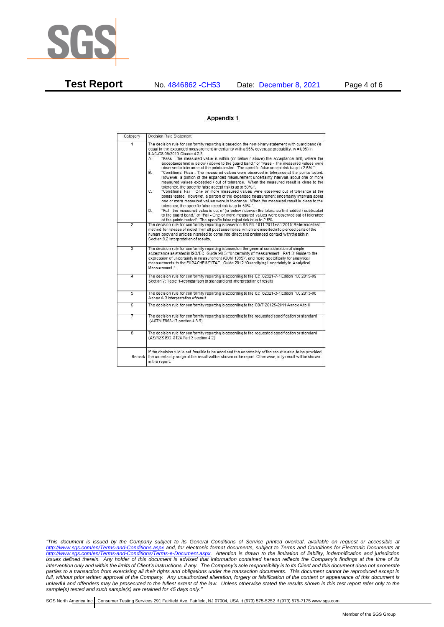

**Test Report** No. 4846862 -CH53 Date: December 8, 2021 Page 4 of 6

## Appendix 1

| Category       | Decision Rule Statement                                                                                                                                                                                                                                                                                                                                                                                                                                                                                                                                                                                                                                                                                                                                                                                                                                                                                                                                                                                                                                                                                                                                                                                                                                                                                                                                                                                                                                                                                            |
|----------------|--------------------------------------------------------------------------------------------------------------------------------------------------------------------------------------------------------------------------------------------------------------------------------------------------------------------------------------------------------------------------------------------------------------------------------------------------------------------------------------------------------------------------------------------------------------------------------------------------------------------------------------------------------------------------------------------------------------------------------------------------------------------------------------------------------------------------------------------------------------------------------------------------------------------------------------------------------------------------------------------------------------------------------------------------------------------------------------------------------------------------------------------------------------------------------------------------------------------------------------------------------------------------------------------------------------------------------------------------------------------------------------------------------------------------------------------------------------------------------------------------------------------|
| $\overline{1}$ | The decision rule for conformity reporting is based on the non-binary statement with quard band (is<br>equal to the expanded measurement uncertainty with a 95% coverage probability, w = U95) in<br>ILAC-G8:09/2019 Clause 4.2.3.<br>"Pass - the measured value is within (or below / above) the acceptance limit, where the<br>А.<br>acceptance limit is below / above to the quard band," or "Pass - The measured values were<br>observed in tolerance at the points tested. The specific false accept risk is up to 2.5%.".<br>B.<br>"Conditional Pass - The measured values were observed in tolerance at the points tested.<br>However, a portion of the expanded measurement uncertainty intervals about one or more<br>measured values exceeded / out of tolerance. When the measured result is close to the<br>tolerance, the specific false accept risk is up to 50%.".<br>C.<br>"Conditional Fail - One or more measured values were observed out of tolerance at the<br>points tested. However, a portion of the expanded measurement uncertainty intervals about<br>one or more measured values were in tolerance. When the measured result is close to the<br>tolerance, the specific false reject risk is up to 50%.".<br>"Fail - the measured value is out of (or below / above) the tolerance limit added / subtracted<br>D.<br>to the quard band." or "Fail - One or more measured values were observed out of tolerance<br>at the points tested". The specific false reject risk is up to 2.5%. |
| $\overline{2}$ | The decision rule for conformity reporting is based on BS EN 1811:2011+A1:2015: Reference test<br>method for release of nickel from all post assemblies which are inserted into pierced parts of the<br>human body and articles intended to come into direct and prolonged contact with the skin in<br>Section 9.2 interpretation of results.                                                                                                                                                                                                                                                                                                                                                                                                                                                                                                                                                                                                                                                                                                                                                                                                                                                                                                                                                                                                                                                                                                                                                                      |
| $\overline{3}$ | The decision rule for conformity reporting is based on the general consideration of simple<br>acceptance as stated in ISO/IEC Guide 98-3: "Uncertainty of measurement - Part 3: Guide to the<br>expression of uncertainty in measurement (GUM 1995)", and more specifically for analytical<br>measurements to the EURACHEM/CITAC Guide 2012 "Quantifying Uncertainty in Analytical<br>Measurement *                                                                                                                                                                                                                                                                                                                                                                                                                                                                                                                                                                                                                                                                                                                                                                                                                                                                                                                                                                                                                                                                                                                |
| 4              | The decision rule for conformity reporting is according to the IEC 62321-7-1 Edition 1.0 2015-09<br>Section 7: Table 1-(comparison to standard and interpretation of result)                                                                                                                                                                                                                                                                                                                                                                                                                                                                                                                                                                                                                                                                                                                                                                                                                                                                                                                                                                                                                                                                                                                                                                                                                                                                                                                                       |
| $\overline{5}$ | The decision rule for conformity reporting is according to the IEC 62321-3-1 Edition 1.0 2013-06<br>Annex A.3 interpretation of result.                                                                                                                                                                                                                                                                                                                                                                                                                                                                                                                                                                                                                                                                                                                                                                                                                                                                                                                                                                                                                                                                                                                                                                                                                                                                                                                                                                            |
| Б              | The decision rule for conformity reporting is according to the GB/T 26125-2011 Annex A to H                                                                                                                                                                                                                                                                                                                                                                                                                                                                                                                                                                                                                                                                                                                                                                                                                                                                                                                                                                                                                                                                                                                                                                                                                                                                                                                                                                                                                        |
| 7              | The decision rule for conformity reporting is according to the requested specification or standard<br>(ASTM F963-17 section 4.3.5)                                                                                                                                                                                                                                                                                                                                                                                                                                                                                                                                                                                                                                                                                                                                                                                                                                                                                                                                                                                                                                                                                                                                                                                                                                                                                                                                                                                 |
| $\overline{8}$ | The decision rule for conformity reporting is according to the requested specification or standard<br>(AS/NZS ISO 8124 Part 3 section 4.2)                                                                                                                                                                                                                                                                                                                                                                                                                                                                                                                                                                                                                                                                                                                                                                                                                                                                                                                                                                                                                                                                                                                                                                                                                                                                                                                                                                         |
| Remark I       | If the decision rule is not feasible to be used and the uncertainty of the result is able to be provided.<br>the uncertainty range of the result will be shown in the report. Otherwise, only result will be shown<br>in the report.                                                                                                                                                                                                                                                                                                                                                                                                                                                                                                                                                                                                                                                                                                                                                                                                                                                                                                                                                                                                                                                                                                                                                                                                                                                                               |

*"This document is issued by the Company subject to its General Conditions of Service printed overleaf, available on request or accessible at <http://www.sgs.com/en/Terms-and-Conditions.aspx> and, for electronic format documents, subject to Terms and Conditions for Electronic Documents at [http://www.sgs.com/en/Terms-and-Conditions/Terms-e-Document.aspx.](http://www.sgs.com/en/Terms-and-Conditions/Terms-e-Document.aspx) Attention is drawn to the limitation of liability, indemnification and jurisdiction issues defined therein. Any holder of this document is advised that information contained hereon reflects the Company's findings at the time of its intervention only and within the limits of Client's instructions, if any. The Company's sole responsibility is to its Client and this document does not exonerate parties to a transaction from exercising all their rights and obligations under the transaction documents. This document cannot be reproduced except in full, without prior written approval of the Company. Any unauthorized alteration, forgery or falsification of the content or appearance of this document is unlawful and offenders may be prosecuted to the fullest extent of the law. Unless otherwise stated the results shown in this test report refer only to the sample(s) tested and such sample(s) are retained for 45 days only."*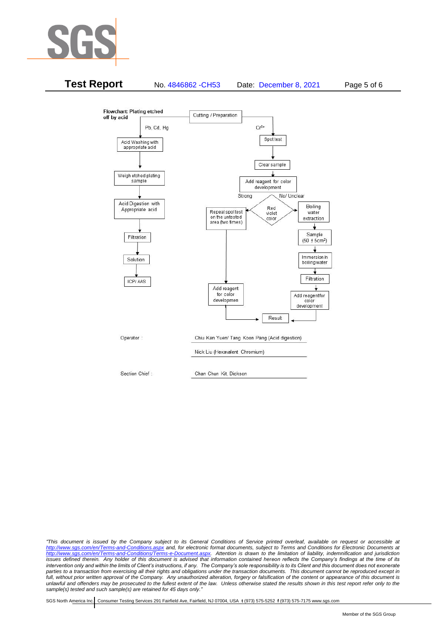



*"This document is issued by the Company subject to its General Conditions of Service printed overleaf, available on request or accessible at <http://www.sgs.com/en/Terms-and-Conditions.aspx> and, for electronic format documents, subject to Terms and Conditions for Electronic Documents at [http://www.sgs.com/en/Terms-and-Conditions/Terms-e-Document.aspx.](http://www.sgs.com/en/Terms-and-Conditions/Terms-e-Document.aspx) Attention is drawn to the limitation of liability, indemnification and jurisdiction issues defined therein. Any holder of this document is advised that information contained hereon reflects the Company's findings at the time of its intervention only and within the limits of Client's instructions, if any. The Company's sole responsibility is to its Client and this document does not exonerate*  parties to a transaction from exercising all their rights and obligations under the transaction documents. This document cannot be reproduced except in *full, without prior written approval of the Company. Any unauthorized alteration, forgery or falsification of the content or appearance of this document is unlawful and offenders may be prosecuted to the fullest extent of the law. Unless otherwise stated the results shown in this test report refer only to the sample(s) tested and such sample(s) are retained for 45 days only."*